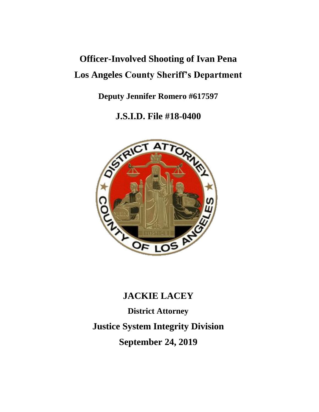# **Officer-Involved Shooting of Ivan Pena Los Angeles County Sheriff's Department**

**Deputy Jennifer Romero #617597**

**J.S.I.D. File #18-0400**



## **JACKIE LACEY**

**District Attorney Justice System Integrity Division September 24, 2019**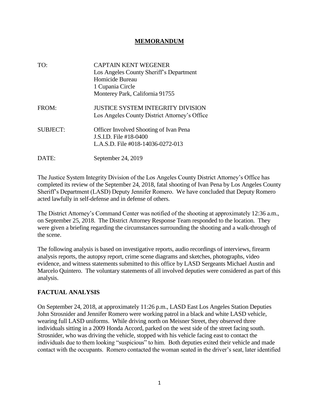#### **MEMORANDUM**

| TO:             | <b>CAPTAIN KENT WEGENER</b><br>Los Angeles County Sheriff's Department<br>Homicide Bureau<br>1 Cupania Circle<br>Monterey Park, California 91755 |
|-----------------|--------------------------------------------------------------------------------------------------------------------------------------------------|
| FROM:           | JUSTICE SYSTEM INTEGRITY DIVISION<br>Los Angeles County District Attorney's Office                                                               |
| <b>SUBJECT:</b> | Officer Involved Shooting of Ivan Pena<br>J.S.I.D. File #18-0400<br>L.A.S.D. File #018-14036-0272-013                                            |
| DATE:           | September 24, 2019                                                                                                                               |

The Justice System Integrity Division of the Los Angeles County District Attorney's Office has completed its review of the September 24, 2018, fatal shooting of Ivan Pena by Los Angeles County Sheriff's Department (LASD) Deputy Jennifer Romero. We have concluded that Deputy Romero acted lawfully in self-defense and in defense of others.

The District Attorney's Command Center was notified of the shooting at approximately 12:36 a.m., on September 25, 2018. The District Attorney Response Team responded to the location. They were given a briefing regarding the circumstances surrounding the shooting and a walk-through of the scene.

The following analysis is based on investigative reports, audio recordings of interviews, firearm analysis reports, the autopsy report, crime scene diagrams and sketches, photographs, video evidence, and witness statements submitted to this office by LASD Sergeants Michael Austin and Marcelo Quintero. The voluntary statements of all involved deputies were considered as part of this analysis.

#### **FACTUAL ANALYSIS**

On September 24, 2018, at approximately 11:26 p.m., LASD East Los Angeles Station Deputies John Strosnider and Jennifer Romero were working patrol in a black and white LASD vehicle, wearing full LASD uniforms. While driving north on Meisner Street, they observed three individuals sitting in a 2009 Honda Accord, parked on the west side of the street facing south. Strosnider, who was driving the vehicle, stopped with his vehicle facing east to contact the individuals due to them looking "suspicious" to him. Both deputies exited their vehicle and made contact with the occupants. Romero contacted the woman seated in the driver's seat, later identified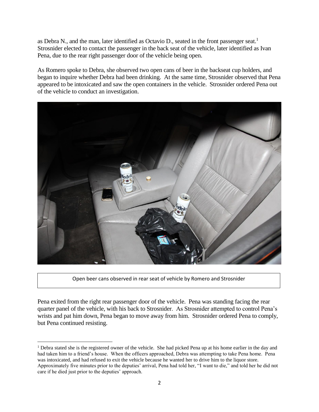as Debra N., and the man, later identified as Octavio D., seated in the front passenger seat.<sup>1</sup> Strosnider elected to contact the passenger in the back seat of the vehicle, later identified as Ivan Pena, due to the rear right passenger door of the vehicle being open.

As Romero spoke to Debra, she observed two open cans of beer in the backseat cup holders, and began to inquire whether Debra had been drinking. At the same time, Strosnider observed that Pena appeared to be intoxicated and saw the open containers in the vehicle. Strosnider ordered Pena out of the vehicle to conduct an investigation.



Open beer cans observed in rear seat of vehicle by Romero and Strosnider

Pena exited from the right rear passenger door of the vehicle. Pena was standing facing the rear quarter panel of the vehicle, with his back to Strosnider. As Strosnider attempted to control Pena's wrists and pat him down, Pena began to move away from him. Strosnider ordered Pena to comply, but Pena continued resisting.

<sup>1</sup> Debra stated she is the registered owner of the vehicle. She had picked Pena up at his home earlier in the day and had taken him to a friend's house. When the officers approached, Debra was attempting to take Pena home. Pena was intoxicated, and had refused to exit the vehicle because he wanted her to drive him to the liquor store. Approximately five minutes prior to the deputies' arrival, Pena had told her, "I want to die," and told her he did not care if he died just prior to the deputies' approach.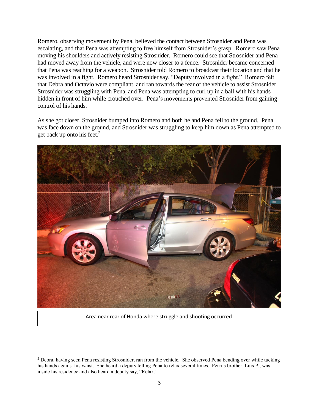Romero, observing movement by Pena, believed the contact between Strosnider and Pena was escalating, and that Pena was attempting to free himself from Strosnider's grasp. Romero saw Pena moving his shoulders and actively resisting Strosnider. Romero could see that Strosnider and Pena had moved away from the vehicle, and were now closer to a fence. Strosnider became concerned that Pena was reaching for a weapon. Strosnider told Romero to broadcast their location and that he was involved in a fight. Romero heard Strosnider say, "Deputy involved in a fight." Romero felt that Debra and Octavio were compliant, and ran towards the rear of the vehicle to assist Strosnider. Strosnider was struggling with Pena, and Pena was attempting to curl up in a ball with his hands hidden in front of him while crouched over. Pena's movements prevented Strosnider from gaining control of his hands.

As she got closer, Strosnider bumped into Romero and both he and Pena fell to the ground. Pena was face down on the ground, and Strosnider was struggling to keep him down as Pena attempted to get back up onto his feet.<sup>2</sup>



Area near rear of Honda where struggle and shooting occurred

<sup>2</sup> Debra, having seen Pena resisting Strosnider, ran from the vehicle. She observed Pena bending over while tucking his hands against his waist. She heard a deputy telling Pena to relax several times. Pena's brother, Luis P., was inside his residence and also heard a deputy say, "Relax."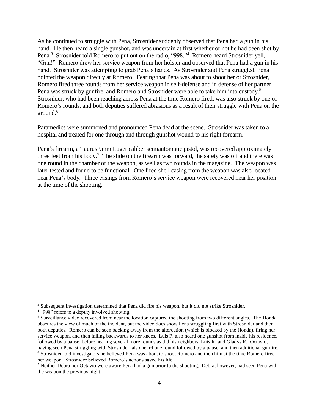As he continued to struggle with Pena, Strosnider suddenly observed that Pena had a gun in his hand. He then heard a single gunshot, and was uncertain at first whether or not he had been shot by Pena.<sup>3</sup> Strosnider told Romero to put out on the radio, "998."<sup>4</sup> Romero heard Strosnider yell, "Gun!" Romero drew her service weapon from her holster and observed that Pena had a gun in his hand. Strosnider was attempting to grab Pena's hands. As Strosnider and Pena struggled, Pena pointed the weapon directly at Romero. Fearing that Pena was about to shoot her or Strosnider, Romero fired three rounds from her service weapon in self-defense and in defense of her partner. Pena was struck by gunfire, and Romero and Strosnider were able to take him into custody.<sup>5</sup> Strosnider, who had been reaching across Pena at the time Romero fired, was also struck by one of Romero's rounds, and both deputies suffered abrasions as a result of their struggle with Pena on the ground. $6$ 

Paramedics were summoned and pronounced Pena dead at the scene. Strosnider was taken to a hospital and treated for one through and through gunshot wound to his right forearm.

Pena's firearm, a Taurus 9mm Luger caliber semiautomatic pistol, was recovered approximately three feet from his body.<sup>7</sup> The slide on the firearm was forward, the safety was off and there was one round in the chamber of the weapon, as well as two rounds in the magazine. The weapon was later tested and found to be functional. One fired shell casing from the weapon was also located near Pena's body. Three casings from Romero's service weapon were recovered near her position at the time of the shooting.

<sup>&</sup>lt;sup>3</sup> Subsequent investigation determined that Pena did fire his weapon, but it did not strike Strosnider.

<sup>&</sup>lt;sup>4</sup> "998" refers to a deputy involved shooting.

<sup>&</sup>lt;sup>5</sup> Surveillance video recovered from near the location captured the shooting from two different angles. The Honda obscures the view of much of the incident, but the video does show Pena struggling first with Strosnider and then both deputies. Romero can be seen backing away from the altercation (which is blocked by the Honda), firing her service weapon, and then falling backwards to her knees. Luis P. also heard one gunshot from inside his residence, followed by a pause, before hearing several more rounds as did his neighbors, Luis R. and Gladys R. Octavio, having seen Pena struggling with Strosnider, also heard one round followed by a pause, and then additional gunfire. <sup>6</sup> Strosnider told investigators he believed Pena was about to shoot Romero and then him at the time Romero fired her weapon. Strosnider believed Romero's actions saved his life.

<sup>7</sup> Neither Debra nor Octavio were aware Pena had a gun prior to the shooting. Debra, however, had seen Pena with the weapon the previous night.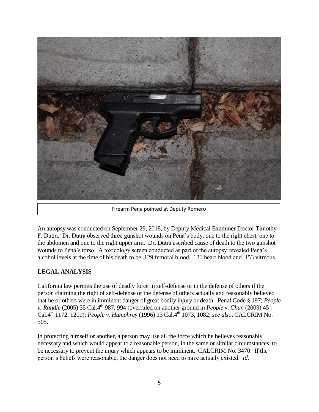

Firearm Pena pointed at Deputy Romero

An autopsy was conducted on September 29, 2018, by Deputy Medical Examiner Doctor Timothy F. Dutra. Dr. Dutra observed three gunshot wounds on Pena's body, one to the right chest, one to the abdomen and one to the right upper arm. Dr. Dutra ascribed cause of death to the two gunshot wounds to Pena's torso. A toxicology screen conducted as part of the autopsy revealed Pena's alcohol levels at the time of his death to be .129 femoral blood, .131 heart blood and .153 vitreous.

### **LEGAL ANALYSIS**

California law permits the use of deadly force in self-defense or in the defense of others if the person claiming the right of self-defense or the defense of others actually and reasonably believed that he or others were in imminent danger of great bodily injury or death. Penal Code § 197; *People v. Randle* (2005) 35 Cal.4<sup>th</sup> 987, 994 (overruled on another ground in *People v. Chun* (2009) 45 Cal.4th 1172, 1201); *People v. Humphrey* (1996) 13 Cal.4th 1073, 1082; *see also,* CALCRIM No. 505.

In protecting himself or another, a person may use all the force which he believes reasonably necessary and which would appear to a reasonable person, in the same or similar circumstances, to be necessary to prevent the injury which appears to be imminent. CALCRIM No. 3470. If the person's beliefs were reasonable, the danger does not need to have actually existed. *Id.*